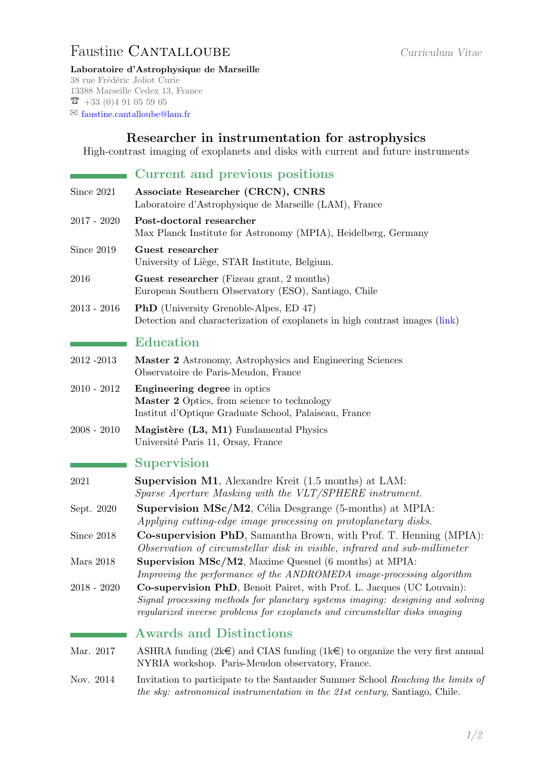## <span id="page-0-0"></span>Faustine CANTALLOUBE Curriculum Vitae

Laboratoire d'Astrophysique de Marseille 38 rue Frédéric Joliot Curie 13388 Marseille Cedex 13, France  $\overline{6}$  +33 (0)4 91 05 59 05

 $\boxtimes$  [faustine.cantalloube@lam.fr](mailto:faustine.cantalloube@lam.fr)

## Researcher in instrumentation for astrophysics

High-contrast imaging of exoplanets and disks with current and future instruments

|                  | Current and previous positions                                                                                                                                                                                                                  |
|------------------|-------------------------------------------------------------------------------------------------------------------------------------------------------------------------------------------------------------------------------------------------|
| Since 2021       | Associate Researcher (CRCN), CNRS<br>Laboratoire d'Astrophysique de Marseille (LAM), France                                                                                                                                                     |
| $2017 - 2020$    | Post-doctoral researcher<br>Max Planck Institute for Astronomy (MPIA), Heidelberg, Germany                                                                                                                                                      |
| Since 2019       | Guest researcher<br>University of Liège, STAR Institute, Belgium.                                                                                                                                                                               |
| 2016             | <b>Guest researcher</b> (Fizeau grant, 2 months)<br>European Southern Observatory (ESO), Santiago, Chile                                                                                                                                        |
| $2013 - 2016$    | <b>PhD</b> (University Grenoble-Alpes, ED 47)<br>Detection and characterization of exoplanets in high contrast images (link)                                                                                                                    |
|                  | <b>Education</b>                                                                                                                                                                                                                                |
| 2012-2013        | Master 2 Astronomy, Astrophysics and Engineering Sciences<br>Observatoire de Paris-Meudon, France                                                                                                                                               |
| $2010 - 2012$    | <b>Engineering degree</b> in optics<br>Master 2 Optics, from science to technology<br>Institut d'Optique Graduate School, Palaiseau, France                                                                                                     |
| $2008 - 2010$    | Magistère (L3, M1) Fundamental Physics<br>Université Paris 11, Orsay, France                                                                                                                                                                    |
|                  | <b>Supervision</b>                                                                                                                                                                                                                              |
| 2021             | <b>Supervision M1</b> , Alexandre Kreit (1.5 months) at LAM:<br>Sparse Aperture Masking with the VLT/SPHERE instrument.                                                                                                                         |
| Sept. 2020       | <b>Supervision MSc/M2</b> , Célia Desgrange (5-months) at MPIA:<br>Applying cutting-edge image processing on protoplanetary disks.                                                                                                              |
| Since 2018       | Co-supervision PhD, Samantha Brown, with Prof. T. Henning (MPIA):<br>Observation of circumstellar disk in visible, infrared and sub-millimeter                                                                                                  |
| <b>Mars</b> 2018 | Supervision MSc/M2, Maxime Quesnel (6 months) at MPIA:<br>Improving the performance of the ANDROMEDA image-processing algorithm                                                                                                                 |
| $2018 - 2020$    | <b>Co-supervision PhD</b> , Benoit Pairet, with Prof. L. Jacques (UC Louvain):<br>Signal processing methods for planetary systems imaging: designing and solving<br>regularized inverse problems for exoplanets and circumstellar disks imaging |
|                  | <b>Awards and Distinctions</b>                                                                                                                                                                                                                  |
| Mar. 2017        | ASHRA funding $(2k\epsilon)$ and CIAS funding $(1k\epsilon)$ to organize the very first annual<br>NYRIA workshop. Paris-Meudon observatory, France.                                                                                             |
| Nov. 2014        | Invitation to participate to the Santander Summer School Reaching the limits of<br>the sky: astronomical instrumentation in the 21st century, Santiago, Chile.                                                                                  |